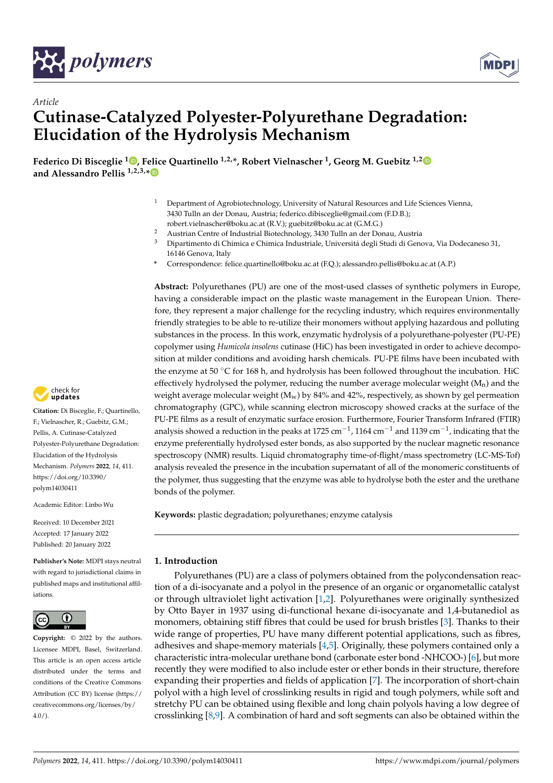



# *Article* **Cutinase-Catalyzed Polyester-Polyurethane Degradation: Elucidation of the Hydrolysis Mechanism**

**Federico Di Bisceglie <sup>1</sup> [,](https://orcid.org/0000-0002-7741-1225) Felice Quartinello 1,2,\*, Robert Vielnascher <sup>1</sup> , Georg M. Guebitz 1,[2](https://orcid.org/0000-0003-2262-487X) and Alessandro Pellis 1,2,3,[\\*](https://orcid.org/0000-0003-3711-3087)**

- <sup>1</sup> Department of Agrobiotechnology, University of Natural Resources and Life Sciences Vienna, 3430 Tulln an der Donau, Austria; federico.dibisceglie@gmail.com (F.D.B.); robert.vielnascher@boku.ac.at (R.V.); guebitz@boku.ac.at (G.M.G.)
- <sup>2</sup> Austrian Centre of Industrial Biotechnology, 3430 Tulln an der Donau, Austria
- <sup>3</sup> Dipartimento di Chimica e Chimica Industriale, Universitá degli Studi di Genova, Via Dodecaneso 31, 16146 Genova, Italy
- **\*** Correspondence: felice.quartinello@boku.ac.at (F.Q.); alessandro.pellis@boku.ac.at (A.P.)

**Abstract:** Polyurethanes (PU) are one of the most-used classes of synthetic polymers in Europe, having a considerable impact on the plastic waste management in the European Union. Therefore, they represent a major challenge for the recycling industry, which requires environmentally friendly strategies to be able to re-utilize their monomers without applying hazardous and polluting substances in the process. In this work, enzymatic hydrolysis of a polyurethane-polyester (PU-PE) copolymer using *Humicola insolens* cutinase (HiC) has been investigated in order to achieve decomposition at milder conditions and avoiding harsh chemicals. PU-PE films have been incubated with the enzyme at 50  $\degree$ C for 168 h, and hydrolysis has been followed throughout the incubation. HiC effectively hydrolysed the polymer, reducing the number average molecular weight  $(M_n)$  and the weight average molecular weight  $(M_w)$  by 84% and 42%, respectively, as shown by gel permeation chromatography (GPC), while scanning electron microscopy showed cracks at the surface of the PU-PE films as a result of enzymatic surface erosion. Furthermore, Fourier Transform Infrared (FTIR) analysis showed a reduction in the peaks at 1725 cm $^{-1}$ , 1164 cm $^{-1}$  and 1139 cm $^{-1}$ , indicating that the enzyme preferentially hydrolysed ester bonds, as also supported by the nuclear magnetic resonance spectroscopy (NMR) results. Liquid chromatography time-of-flight/mass spectrometry (LC-MS-Tof) analysis revealed the presence in the incubation supernatant of all of the monomeric constituents of the polymer, thus suggesting that the enzyme was able to hydrolyse both the ester and the urethane bonds of the polymer.

**Keywords:** plastic degradation; polyurethanes; enzyme catalysis

## **1. Introduction**

Polyurethanes (PU) are a class of polymers obtained from the polycondensation reaction of a di-isocyanate and a polyol in the presence of an organic or organometallic catalyst or through ultraviolet light activation [\[1,](#page-9-0)[2\]](#page-9-1). Polyurethanes were originally synthesized by Otto Bayer in 1937 using di-functional hexane di-isocyanate and 1,4-butanediol as monomers, obtaining stiff fibres that could be used for brush bristles [\[3\]](#page-9-2). Thanks to their wide range of properties, PU have many different potential applications, such as fibres, adhesives and shape-memory materials [\[4,](#page-9-3)[5\]](#page-9-4). Originally, these polymers contained only a characteristic intra-molecular urethane bond (carbonate ester bond -NHCOO-) [\[6\]](#page-9-5), but more recently they were modified to also include ester or ether bonds in their structure, therefore expanding their properties and fields of application [\[7\]](#page-9-6). The incorporation of short-chain polyol with a high level of crosslinking results in rigid and tough polymers, while soft and stretchy PU can be obtained using flexible and long chain polyols having a low degree of crosslinking [\[8](#page-9-7)[,9\]](#page-10-0). A combination of hard and soft segments can also be obtained within the



**Citation:** Di Bisceglie, F.; Quartinello, F.; Vielnascher, R.; Guebitz, G.M.; Pellis, A. Cutinase-Catalyzed Polyester-Polyurethane Degradation: Elucidation of the Hydrolysis Mechanism. *Polymers* **2022**, *14*, 411. [https://doi.org/10.3390/](https://doi.org/10.3390/polym14030411) [polym14030411](https://doi.org/10.3390/polym14030411)

Academic Editor: Linbo Wu

Received: 10 December 2021 Accepted: 17 January 2022 Published: 20 January 2022

**Publisher's Note:** MDPI stays neutral with regard to jurisdictional claims in published maps and institutional affiliations.



**Copyright:** © 2022 by the authors. Licensee MDPI, Basel, Switzerland. This article is an open access article distributed under the terms and conditions of the Creative Commons Attribution (CC BY) license [\(https://](https://creativecommons.org/licenses/by/4.0/) [creativecommons.org/licenses/by/](https://creativecommons.org/licenses/by/4.0/)  $4.0/$ ).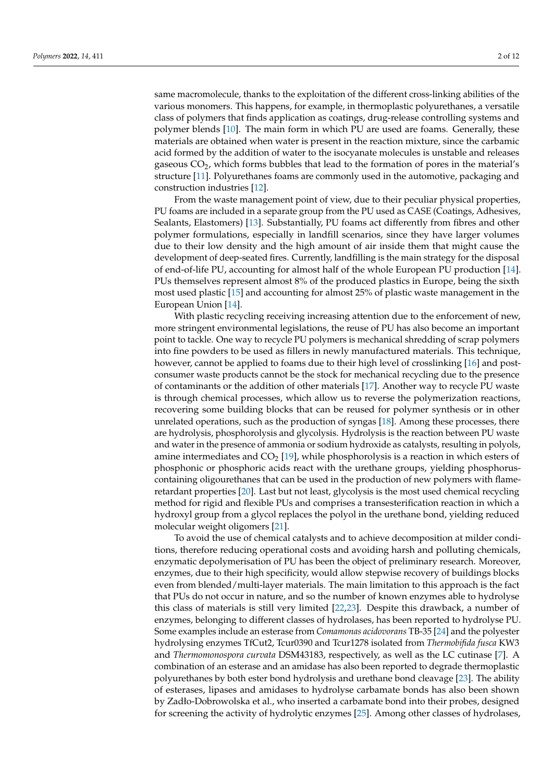same macromolecule, thanks to the exploitation of the different cross-linking abilities of the various monomers. This happens, for example, in thermoplastic polyurethanes, a versatile class of polymers that finds application as coatings, drug-release controlling systems and polymer blends [\[10\]](#page-10-1). The main form in which PU are used are foams. Generally, these materials are obtained when water is present in the reaction mixture, since the carbamic acid formed by the addition of water to the isocyanate molecules is unstable and releases gaseous CO2, which forms bubbles that lead to the formation of pores in the material's structure [\[11\]](#page-10-2). Polyurethanes foams are commonly used in the automotive, packaging and construction industries [\[12\]](#page-10-3).

From the waste management point of view, due to their peculiar physical properties, PU foams are included in a separate group from the PU used as CASE (Coatings, Adhesives, Sealants, Elastomers) [\[13\]](#page-10-4). Substantially, PU foams act differently from fibres and other polymer formulations, especially in landfill scenarios, since they have larger volumes due to their low density and the high amount of air inside them that might cause the development of deep-seated fires. Currently, landfilling is the main strategy for the disposal of end-of-life PU, accounting for almost half of the whole European PU production [\[14\]](#page-10-5). PUs themselves represent almost 8% of the produced plastics in Europe, being the sixth most used plastic [\[15\]](#page-10-6) and accounting for almost 25% of plastic waste management in the European Union [\[14\]](#page-10-5).

With plastic recycling receiving increasing attention due to the enforcement of new, more stringent environmental legislations, the reuse of PU has also become an important point to tackle. One way to recycle PU polymers is mechanical shredding of scrap polymers into fine powders to be used as fillers in newly manufactured materials. This technique, however, cannot be applied to foams due to their high level of crosslinking [\[16\]](#page-10-7) and postconsumer waste products cannot be the stock for mechanical recycling due to the presence of contaminants or the addition of other materials [\[17\]](#page-10-8). Another way to recycle PU waste is through chemical processes, which allow us to reverse the polymerization reactions, recovering some building blocks that can be reused for polymer synthesis or in other unrelated operations, such as the production of syngas [\[18\]](#page-10-9). Among these processes, there are hydrolysis, phosphorolysis and glycolysis. Hydrolysis is the reaction between PU waste and water in the presence of ammonia or sodium hydroxide as catalysts, resulting in polyols, amine intermediates and  $CO<sub>2</sub>$  [\[19\]](#page-10-10), while phosphorolysis is a reaction in which esters of phosphonic or phosphoric acids react with the urethane groups, yielding phosphoruscontaining oligourethanes that can be used in the production of new polymers with flameretardant properties [\[20\]](#page-10-11). Last but not least, glycolysis is the most used chemical recycling method for rigid and flexible PUs and comprises a transesterification reaction in which a hydroxyl group from a glycol replaces the polyol in the urethane bond, yielding reduced molecular weight oligomers [\[21\]](#page-10-12).

To avoid the use of chemical catalysts and to achieve decomposition at milder conditions, therefore reducing operational costs and avoiding harsh and polluting chemicals, enzymatic depolymerisation of PU has been the object of preliminary research. Moreover, enzymes, due to their high specificity, would allow stepwise recovery of buildings blocks even from blended/multi-layer materials. The main limitation to this approach is the fact that PUs do not occur in nature, and so the number of known enzymes able to hydrolyse this class of materials is still very limited [\[22](#page-10-13)[,23\]](#page-10-14). Despite this drawback, a number of enzymes, belonging to different classes of hydrolases, has been reported to hydrolyse PU. Some examples include an esterase from *Comamonas acidovorans* TB-35 [\[24\]](#page-10-15) and the polyester hydrolysing enzymes TfCut2, Tcur0390 and Tcur1278 isolated from *Thermobifida fusca* KW3 and *Thermomonospora curvata* DSM43183, respectively, as well as the LC cutinase [\[7\]](#page-9-6). A combination of an esterase and an amidase has also been reported to degrade thermoplastic polyurethanes by both ester bond hydrolysis and urethane bond cleavage [\[23\]](#page-10-14). The ability of esterases, lipases and amidases to hydrolyse carbamate bonds has also been shown by Zadło-Dobrowolska et al., who inserted a carbamate bond into their probes, designed for screening the activity of hydrolytic enzymes [\[25\]](#page-10-16). Among other classes of hydrolases,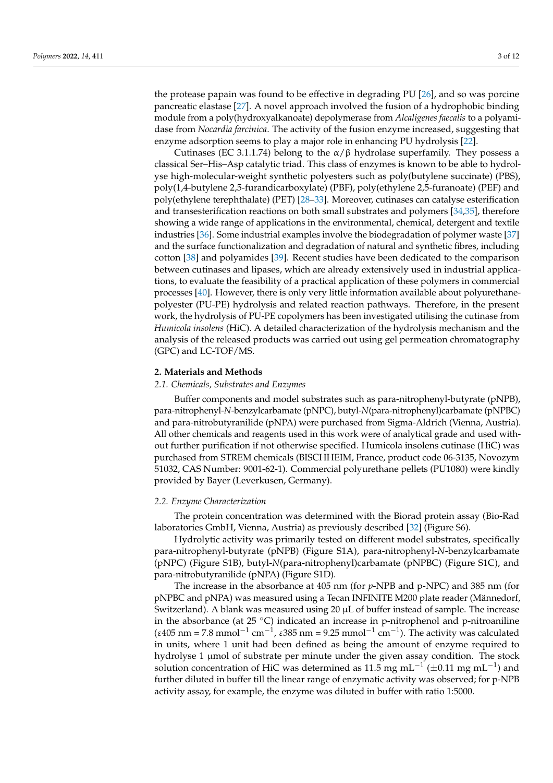the protease papain was found to be effective in degrading PU [\[26\]](#page-10-17), and so was porcine pancreatic elastase [\[27\]](#page-10-18). A novel approach involved the fusion of a hydrophobic binding module from a poly(hydroxyalkanoate) depolymerase from *Alcaligenes faecalis* to a polyamidase from *Nocardia farcinica*. The activity of the fusion enzyme increased, suggesting that enzyme adsorption seems to play a major role in enhancing PU hydrolysis [\[22\]](#page-10-13).

Cutinases (EC 3.1.1.74) belong to the  $\alpha/\beta$  hydrolase superfamily. They possess a classical Ser–His–Asp catalytic triad. This class of enzymes is known to be able to hydrolyse high-molecular-weight synthetic polyesters such as poly(butylene succinate) (PBS), poly(1,4-butylene 2,5-furandicarboxylate) (PBF), poly(ethylene 2,5-furanoate) (PEF) and poly(ethylene terephthalate) (PET) [\[28–](#page-10-19)[33\]](#page-10-20). Moreover, cutinases can catalyse esterification and transesterification reactions on both small substrates and polymers [\[34](#page-10-21)[,35\]](#page-11-0), therefore showing a wide range of applications in the environmental, chemical, detergent and textile industries [\[36\]](#page-11-1). Some industrial examples involve the biodegradation of polymer waste [\[37\]](#page-11-2) and the surface functionalization and degradation of natural and synthetic fibres, including cotton [\[38\]](#page-11-3) and polyamides [\[39\]](#page-11-4). Recent studies have been dedicated to the comparison between cutinases and lipases, which are already extensively used in industrial applications, to evaluate the feasibility of a practical application of these polymers in commercial processes [\[40\]](#page-11-5). However, there is only very little information available about polyurethanepolyester (PU-PE) hydrolysis and related reaction pathways. Therefore, in the present work, the hydrolysis of PU-PE copolymers has been investigated utilising the cutinase from *Humicola insolens* (HiC). A detailed characterization of the hydrolysis mechanism and the analysis of the released products was carried out using gel permeation chromatography (GPC) and LC-TOF/MS.

#### **2. Materials and Methods**

## *2.1. Chemicals, Substrates and Enzymes*

Buffer components and model substrates such as para-nitrophenyl-butyrate (pNPB), para-nitrophenyl-*N*-benzylcarbamate (pNPC), butyl-*N*(para-nitrophenyl)carbamate (pNPBC) and para-nitrobutyranilide (pNPA) were purchased from Sigma-Aldrich (Vienna, Austria). All other chemicals and reagents used in this work were of analytical grade and used without further purification if not otherwise specified. Humicola insolens cutinase (HiC) was purchased from STREM chemicals (BISCHHEIM, France, product code 06-3135, Novozym 51032, CAS Number: 9001-62-1). Commercial polyurethane pellets (PU1080) were kindly provided by Bayer (Leverkusen, Germany).

#### *2.2. Enzyme Characterization*

The protein concentration was determined with the Biorad protein assay (Bio-Rad laboratories GmbH, Vienna, Austria) as previously described [\[32\]](#page-10-22) (Figure S6).

Hydrolytic activity was primarily tested on different model substrates, specifically para-nitrophenyl-butyrate (pNPB) (Figure S1A), para-nitrophenyl-*N*-benzylcarbamate (pNPC) (Figure S1B), butyl-*N*(para-nitrophenyl)carbamate (pNPBC) (Figure S1C), and para-nitrobutyranilide (pNPA) (Figure S1D).

The increase in the absorbance at 405 nm (for *p*-NPB and p-NPC) and 385 nm (for pNPBC and pNPA) was measured using a Tecan INFINITE M200 plate reader (Männedorf, Switzerland). A blank was measured using 20 µL of buffer instead of sample. The increase in the absorbance (at  $25 \degree C$ ) indicated an increase in p-nitrophenol and p-nitroaniline (ε405 nm = 7.8 mmol<sup>-1</sup> cm<sup>-1</sup>, ε385 nm = 9.25 mmol<sup>-1</sup> cm<sup>-1</sup>). The activity was calculated in units, where 1 unit had been defined as being the amount of enzyme required to hydrolyse 1 µmol of substrate per minute under the given assay condition. The stock solution concentration of HiC was determined as 11.5 mg mL<sup>-1</sup> (±0.11 mg mL<sup>-1</sup>) and further diluted in buffer till the linear range of enzymatic activity was observed; for p-NPB activity assay, for example, the enzyme was diluted in buffer with ratio 1:5000.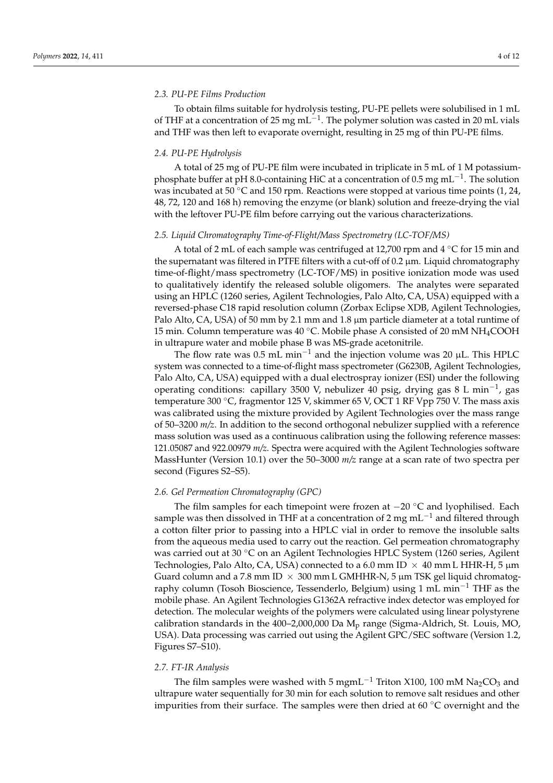#### *2.3. PU-PE Films Production*

To obtain films suitable for hydrolysis testing, PU-PE pellets were solubilised in 1 mL of THF at a concentration of 25 mg mL<sup>-1</sup>. The polymer solution was casted in 20 mL vials and THF was then left to evaporate overnight, resulting in 25 mg of thin PU-PE films.

#### *2.4. PU-PE Hydrolysis*

A total of 25 mg of PU-PE film were incubated in triplicate in 5 mL of 1 M potassiumphosphate buffer at pH 8.0-containing HiC at a concentration of 0.5 mg mL<sup>-1</sup>. The solution was incubated at 50 °C and 150 rpm. Reactions were stopped at various time points  $(1, 24, 4)$ 48, 72, 120 and 168 h) removing the enzyme (or blank) solution and freeze-drying the vial with the leftover PU-PE film before carrying out the various characterizations.

#### *2.5. Liquid Chromatography Time-of-Flight/Mass Spectrometry (LC-TOF/MS)*

A total of 2 mL of each sample was centrifuged at 12,700 rpm and 4 ◦C for 15 min and the supernatant was filtered in PTFE filters with a cut-off of  $0.2 \mu m$ . Liquid chromatography time-of-flight/mass spectrometry (LC-TOF/MS) in positive ionization mode was used to qualitatively identify the released soluble oligomers. The analytes were separated using an HPLC (1260 series, Agilent Technologies, Palo Alto, CA, USA) equipped with a reversed-phase C18 rapid resolution column (Zorbax Eclipse XDB, Agilent Technologies, Palo Alto, CA, USA) of 50 mm by 2.1 mm and 1.8 µm particle diameter at a total runtime of 15 min. Column temperature was 40 °C. Mobile phase A consisted of 20 mM NH<sub>4</sub>COOH in ultrapure water and mobile phase B was MS-grade acetonitrile.

The flow rate was 0.5 mL min<sup>-1</sup> and the injection volume was 20 µL. This HPLC system was connected to a time-of-flight mass spectrometer (G6230B, Agilent Technologies, Palo Alto, CA, USA) equipped with a dual electrospray ionizer (ESI) under the following operating conditions: capillary 3500 V, nebulizer 40 psig, drying gas 8 L min−<sup>1</sup> , gas temperature 300 °C, fragmentor 125 V, skimmer 65 V, OCT 1 RF Vpp 750 V. The mass axis was calibrated using the mixture provided by Agilent Technologies over the mass range of 50–3200 *m/z*. In addition to the second orthogonal nebulizer supplied with a reference mass solution was used as a continuous calibration using the following reference masses: 121.05087 and 922.00979 *m/z*. Spectra were acquired with the Agilent Technologies software MassHunter (Version 10.1) over the 50–3000 *m/z* range at a scan rate of two spectra per second (Figures S2–S5).

#### *2.6. Gel Permeation Chromatography (GPC)*

The film samples for each timepoint were frozen at −20 ◦C and lyophilised. Each sample was then dissolved in THF at a concentration of 2 mg  $mL^{-1}$  and filtered through a cotton filter prior to passing into a HPLC vial in order to remove the insoluble salts from the aqueous media used to carry out the reaction. Gel permeation chromatography was carried out at 30 ◦C on an Agilent Technologies HPLC System (1260 series, Agilent Technologies, Palo Alto, CA, USA) connected to a 6.0 mm ID  $\times$  40 mm L HHR-H, 5  $\mu$ m Guard column and a 7.8 mm ID  $\times$  300 mm L GMHHR-N, 5 µm TSK gel liquid chromatography column (Tosoh Bioscience, Tessenderlo, Belgium) using 1 mL min−<sup>1</sup> THF as the mobile phase. An Agilent Technologies G1362A refractive index detector was employed for detection. The molecular weights of the polymers were calculated using linear polystyrene calibration standards in the  $400-2,000,000$  Da M<sub>p</sub> range (Sigma-Aldrich, St. Louis, MO, USA). Data processing was carried out using the Agilent GPC/SEC software (Version 1.2, Figures S7–S10).

#### *2.7. FT-IR Analysis*

The film samples were washed with 5 mgmL<sup>-1</sup> Triton X100, 100 mM Na<sub>2</sub>CO<sub>3</sub> and ultrapure water sequentially for 30 min for each solution to remove salt residues and other impurities from their surface. The samples were then dried at 60 ◦C overnight and the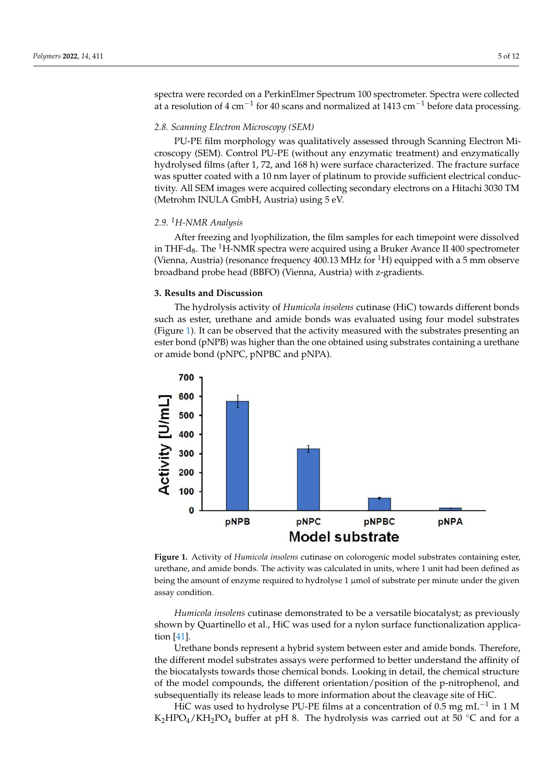spectra were recorded on a PerkinElmer Spectrum 100 spectrometer. Spectra were collected at a resolution of 4 cm<sup>-1</sup> for 40 scans and normalized at 1413 cm<sup>-1</sup> before data processing.

hydrolysed films (after 1, 72, and 168 h) were surface characterized. The fracture surface

### **2.8. Scanning Electron Microscopy (SEM)**

PU-PE film morphology was qualitatively assessed through Scanning Electron Microscopy (SEM). Control PU-PE (without any enzymatic treatment) and enzymatically hydrolysed films (after 1, 72, and 168 h) were surface characterized. The fracture surface was sputter coated with a 10 nm layer of platinum to provide sufficient electrical conductivity. All SEM images were acquired collecting secondary electrons on a Hitachi 3030 TM (Metrohm INULA GmbH, Austria) using 5 eV.

## 2.9. <sup>1</sup>H-NMR Analysis The hydrolysis activity of *Humicola insolens* cutinase (HiC) towards different bonds

After freezing and lyophilization, the film samples for each timepoint were dissolved in THF-d<sub>8</sub>. The <sup>1</sup>H-NMR spectra were acquired using a Bruker Avance II 400 spectrometer (Vienna, Austria) (resonance frequency  $400.13 \text{ MHz}$  for  $^1\text{H}$ ) equipped with a 5 mm observe broadband probe head (BBFO) (Vienna*,* Austria) with z-gradients.

## **3. Results and Discussion**  $\mathbf{S}$  by  $\mathbf{R}$ , Hic was used for a nylon surface functionalization surface functionalizationalizationalizationalizationalization surface functionalization surface functionalization surface functionalization surface

The hydrolysis activity of *Humicola insolens* cutinase (HiC) towards different bonds such as ester, urethane and amide bonds was evaluated using four model substrates (Figure 1). It can be observed that the activity measured with the substrates presenting an ester bond (pNPB) was higher than the one obtained using substrates containing a urethane or amide bond (pNPC, pNPBC and pNPA).

<span id="page-4-0"></span>

Figure 1. Activity of Humicola insolens cutinase on colorogenic model substrates containing ester, urethane, and amide bonds. The activity was calculated in units, where 1 unit had been defined as urethane, and amide bonds. The activity was calculated in units, where 1 unit had been defined as being the amount of enzyme required to hydrolyse 1 µmol of substrate per minute under the given assay condition.

*Humicola insolens* cutinase demonstrated to be a versatile biocatalyst; as previously shown by Quartinello et al., HiC was used for a nylon surface functionalization application [\[41\]](#page-11-6).

Urethane bonds represent a hybrid system between ester and amide bonds. Therefore, the different model substrates assays were performed to better understand the affinity of the biocatalysts towards those chemical bonds. Looking in detail, the chemical structure of the model compounds, the different orientation/position of the p-nitrophenol, and subsequentially its release leads to more information about the cleavage site of HiC.

HiC was used to hydrolyse PU-PE films at a concentration of 0.5 mg mL<sup>-1</sup> in 1 M  $K_2HPO_4/KH_2PO_4$  buffer at pH 8. The hydrolysis was carried out at 50 °C and for a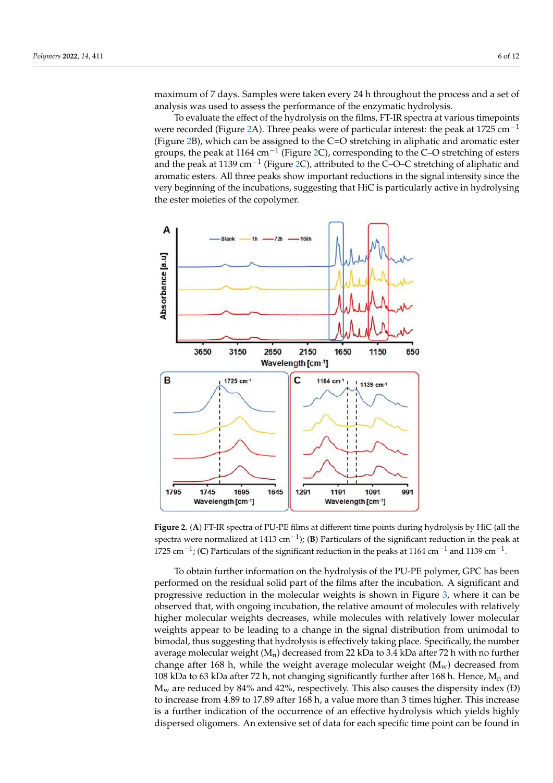maximum of 7 days. Samples were taken every 24 h throughout the process and a set of analysis was used to assess the performance of the enzymatic hydrolysis. analysis was used to assess the performance of the enzymatic hydrolysis.  $K^{\rm eff}$  buffer at pH  $\rm K^{\rm eff}$  buffer at pH  $\rm K^{\rm eff}$  at  $50$   $\rm K^{\rm eff}$  at  $50$   $\rm K^{\rm eff}$  and  $50$ maximum of 7 days. Samples were taken every 24 h throughout the process and a set of

To evaluate the effect of the hydrolysis on the films, FT-IR spectra at various timepoints were recorded (Figure [2A](#page-5-0)). Three peaks were of particular interest: the peak at 1725 cm<sup>-1</sup> (Figure [2B](#page-5-0)), which can be assigned to the C=O stretching in aliphatic and aromatic ester groups, the peak at 1164 cm<sup>-1</sup> (Figure [2C](#page-5-0)), corresponding to the C–O stretching of esters and the peak at 1139 cm<sup>−1</sup> (Figure [2C](#page-5-0)), attributed to the C–O–C stretching of aliphatic and the peak at 1139 cm<sup>−1</sup> (Figure 2C), attributed to the C–O–C stretching of aliphatic and aromatic esters. All three peaks show important reductions in the signal intensity since the very beginning of the incubations, suggesting that HiC is particularly active in hydrolysing<br>the seterma istice of the conclusions the ester moieties of the copolymer.

<span id="page-5-0"></span>

Figure 2. (A) FT-IR spectra of PU-PE films at different time points during hydrolysis by HiC (all the space at  $(x)$  1 december 1413 cm−1); (**B**) Particulars of the significant reduction in the peak at 1725 cm <sup>-1</sup> spectra were normalized at 1413 cm<sup>−1</sup>); (**B**) Particulars of the significant reduction in the peak at 1139 cm−1 1725 cm<sup>-1</sup>; (C) Particulars of the significant reduction in the peaks at 1164 cm<sup>-1</sup> and 1139 cm<sup>-1</sup>.

To obtain further information on the hydrolysis of the PU-PE polymer, GPC has been To obtain further information on the hydrolysis of the PU-PE polymer, GPC has been performed on the residual solid part of the films after the incubation. A significant and performed on the residual solid part of the films after the incubation. A significant and progressive reduction in the molecular weights is shown in Figure 3, where it can be progressive reduction in the molecular weights is shown in Figure [3,](#page-6-0) where it can be observed that, with ongoing incubation, the relative amount of molecules with relatively observed that, with ongoing incubation, the relative amount of molecules with relatively higher molecular weights decreases, while molecules with relatively lower molecular higher molecular weights decreases, while molecules with relatively lower molecular weights appear to be leading to a change in the signal distribution from unimodal to weights appear to be leading to a change in the signal distribution from unimodal to bimodal, thus suggesting that hydrolysis is effectively taking place. Specifically, the bimodal, thus suggesting that hydrolysis is effectively taking place. Specifically, the number average molecular weight  $(M_n)$  decreased from 22 kDa to 3.4 kDa after 72 h with no further change after 168 h, while the weight average molecular weight ( $M_w$ ) decreased from 108 kDa to 63 kDa after 72 h, not changing significantly further after 168 h. Hence,  $M_n$  and  $M_w$  are reduced by 84% and 42%, respectively. This also causes the dispersity index (Đ) to increase from 4.89 to 17.89 after 168 h, a value more than 3 times higher. This increase is a further indication of the occurrence of an effective hydrolysis which yields highly dispersed oligomers. An extensive set of data for each specific time point can be found in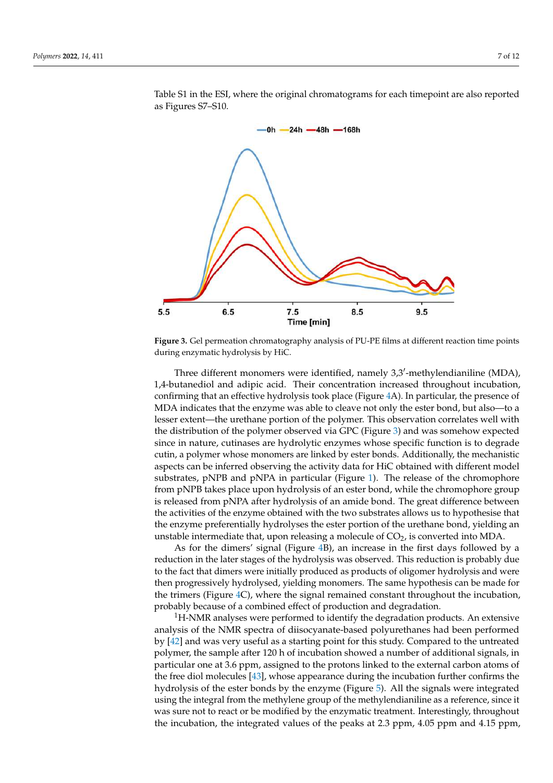<span id="page-6-0"></span>

Table S1 in the ESI, where the original chromatograms for each timepoint are also reported as Figures S7–S10.

increase is a function of the occurrence of the occurrence of  $\mathcal{A}$ 

**Figure 3.** Gel permeation chromatography analysis of PU-PE films at different reaction time points **Figure 3.** Gel permeation chromatography analysis of PU-PE films at different reaction time points during enzymatic hydrolysis by HiC. during enzymatic hydrolysis by HiC.

Three different monomers were identified, namely 3,3'-methylendianiline (MDA), 1,4-butanediol and adipic acid. Their concentration increased throughout incubation, 1,4-butanediol and adipic acid. Their concentration increased throughout incubation, confirming that an effective hydrolysis took place (Figur[e 4](#page-7-0)A). In particular, the presence confirming that an effective hydrolysis took place (Figure 4A). In particular, the presence of MDA indicates that the enzyme was able to cleave not only the ester bond, but also-to a lesser extent—the urethane portion of the polymer. This observation correlates well with the distribution of the polymer observed via GPC [\(F](#page-6-0)igure 3) and was somehow expected since in nature, cutinases are hydrolytic enzymes whose specific function is to degrade cutin, a polymer whose monomers are linked by ester bonds. Additionally, the mechanistic aspects can be inferred observing the activity data for HiC obtained with different model substrates, pNPB and pNPA in pa[rtic](#page-4-0)ular (Figure 1). The release of the chromophore from pNPB takes place upon hydrolysis of an ester bond, while the chromophore group is released from pNPA after hydrolysis of an amide bond. The great difference between the activities of the enzyme obtained with the two substrates allows us to hypothesise that the enzyme preferentially hydrolyses the ester portion of the urethane bond, yielding an unstable intermediate that, upon releasing a molecule of  $CO<sub>2</sub>$ , is converted into MDA.

As for the dimers' signal (Figure [4B](#page-7-0)), an increase in the first days followed by a reduction in the later stages of the hydrolysis was observed. This reduction is probably due to the fact that dimers were initially produced as products of oligomer hydrolysis and were then progressively hydrolysed, yielding monomers. The same hypothesis can be made for the trimers (Figure [4C](#page-7-0)), where the signal remained constant throughout the incubation, probably because of a combined effect of production and degradation.

 $1H-NMR$  analyses were performed to identify the degradation products. An extensive analysis of the NMR spectra of diisocyanate-based polyurethanes had been performed by [\[42\]](#page-11-7) and was very useful as a starting point for this study. Compared to the untreated polymer, the sample after 120 h of incubation showed a number of additional signals, in particular one at 3.6 ppm, assigned to the protons linked to the external carbon atoms of the free diol molecules [\[43\]](#page-11-8), whose appearance during the incubation further confirms the hydrolysis of the ester bonds by the enzyme (Figure [5\)](#page-8-0). All the signals were integrated using the integral from the methylene group of the methylendianiline as a reference, since it was sure not to react or be modified by the enzymatic treatment. Interestingly, throughout the incubation, the integrated values of the peaks at 2.3 ppm, 4.05 ppm and 4.15 ppm,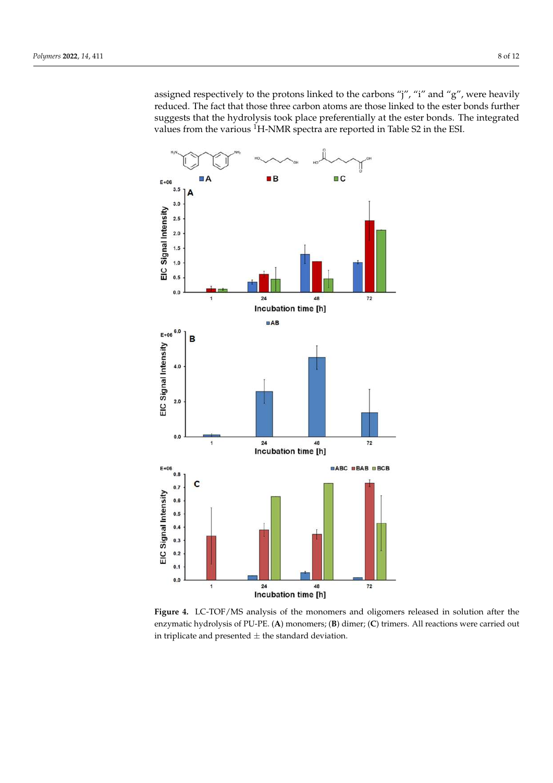assigned respectively to the protons linked to the carbons "j", "i" and "g", were heavily reduced. The fact that those three carbon atoms are those linked to the ester bonds further suggests that the hydrolysis took place preferentially at the ester bonds. The integrated values from the various <sup>1</sup>H-NMR spectra are reported in Table S2 in the ESI.

<span id="page-7-0"></span>

**Figure 4.** LC-TOF/MS analysis of the monomers and oligomers released in solution after the **Figure 4.** LC-TOF/MS analysis of the monomers and oligomers released in solution after the enzymatic hydrolysis of PU-PE. (A) monomers; (B) dimer; (C) trimers. All reactions were carried out in triplicate and presented  $\pm$  the standard deviation.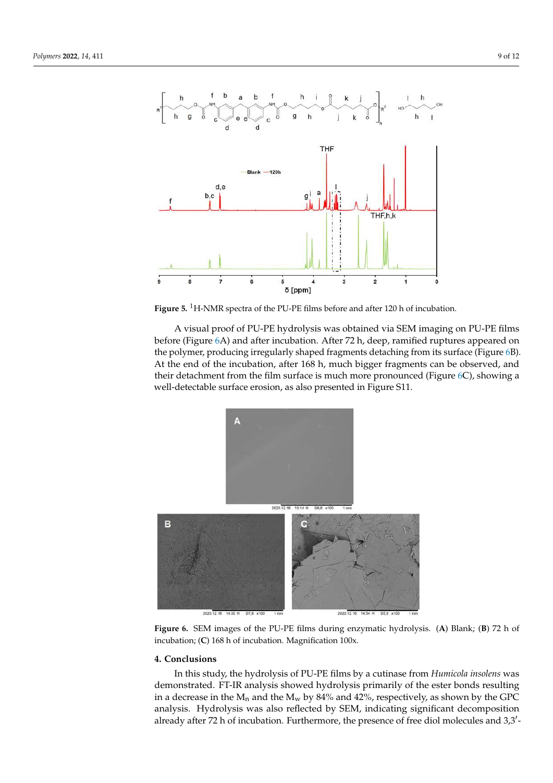<span id="page-8-0"></span>

Figure 5. <sup>1</sup>H-NMR spectra of the PU-PE films before and after 120 h of incubation.

A visual proof of PU-PE hydrolysis was obtained via SEM imaging on PU-PE films before (Figur[e 6](#page-8-1)A) and after incubation. After 72 h, deep, ramified ruptures appeared on the polymer, producing irre[gu](#page-8-1)larly shaped fragments detaching from its surface (Figure 6B). At the end of the incubation, after  $168$  h, much bigger fragments can be observed, and their detachment from the film surface is much more pronounced (Figure  $6C$ ), showing a well-detectable surface erosion, as also presented in Figure S11. well-detectable surface erosion, as also presented in Figure S11. well-detectable surface erosion, as also presented in Figure S11.

bonds. The integrated values from the various 1H-NMR spectra are reported in Table S2

<span id="page-8-1"></span>

Figure 6. SEM images of the PU-PE films during enzymatic hydrolysis. (A) Blank; (B) 72 h of incubation; (**C**) 168 h of incubation. Magnification 100x. incubation; (**C**) 168 h of incubation. Magnification 100x.

## **4. Conclusions 4. Conclusions 4. Conclusions**

In this study, the hydrolysis of PU-PE films by a cutinase from Humicola insolens was demonstrated. FT-IR analysis showed hydrolysis primarily of the ester bonds resulting in a decrease in the  $M_n$  and the  $M_w$  by 84% and 42%, respectively, as shown by the GPC analysis. Hydrolysis was also reflected by SEM, indicating significant decomposition already after 72 h of incubation. Furthermore, the presence of free diol molecules and 3,3'-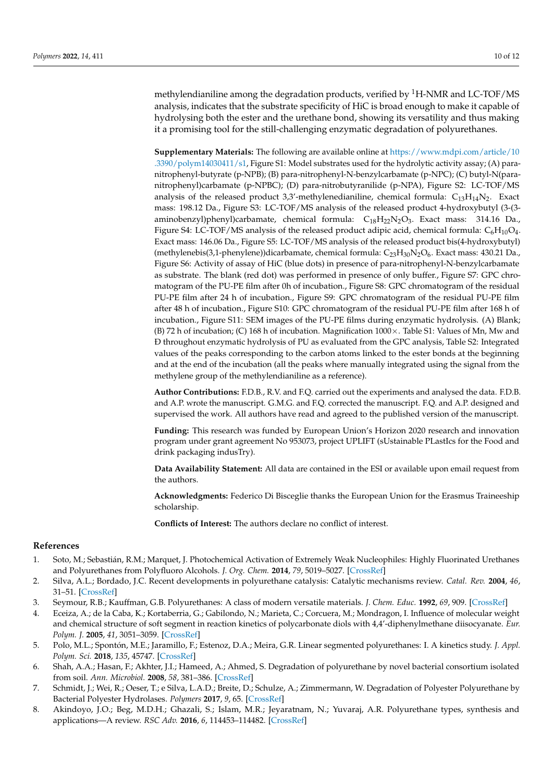methylendianiline among the degradation products, verified by  ${}^{1}$ H-NMR and LC-TOF/MS analysis, indicates that the substrate specificity of HiC is broad enough to make it capable of hydrolysing both the ester and the urethane bond, showing its versatility and thus making it a promising tool for the still-challenging enzymatic degradation of polyurethanes.

**Supplementary Materials:** The following are available online at [https://www.mdpi.com/article/10](https://www.mdpi.com/article/10.3390/polym14030411/s1) [.3390/polym14030411/s1,](https://www.mdpi.com/article/10.3390/polym14030411/s1) Figure S1: Model substrates used for the hydrolytic activity assay; (A) paranitrophenyl-butyrate (p-NPB); (B) para-nitrophenyl-N-benzylcarbamate (p-NPC); (C) butyl-N(paranitrophenyl)carbamate (p-NPBC); (D) para-nitrobutyranilide (p-NPA), Figure S2: LC-TOF/MS analysis of the released product 3,3'-methylenedianiline, chemical formula:  $C_{13}H_{14}N_2$ . Exact mass: 198.12 Da., Figure S3: LC-TOF/MS analysis of the released product 4-hydroxybutyl (3-(3 aminobenzyl)phenyl)carbamate, chemical formula:  $C_{18}H_{22}N_2O_3$ . Exact mass: 314.16 Da., Figure S4: LC-TOF/MS analysis of the released product adipic acid, chemical formula:  $\rm{C_6H_{10}O_4}$ . Exact mass: 146.06 Da., Figure S5: LC-TOF/MS analysis of the released product bis(4-hydroxybutyl) (methylenebis(3,1-phenylene))dicarbamate, chemical formula:  $C_{23}H_{30}N_2O_6$ . Exact mass: 430.21 Da., Figure S6: Activity of assay of HiC (blue dots) in presence of para-nitrophenyl-N-benzylcarbamate as substrate. The blank (red dot) was performed in presence of only buffer., Figure S7: GPC chromatogram of the PU-PE film after 0h of incubation., Figure S8: GPC chromatogram of the residual PU-PE film after 24 h of incubation., Figure S9: GPC chromatogram of the residual PU-PE film after 48 h of incubation., Figure S10: GPC chromatogram of the residual PU-PE film after 168 h of incubation., Figure S11: SEM images of the PU-PE films during enzymatic hydrolysis. (A) Blank; (B) 72 h of incubation; (C) 168 h of incubation. Magnification  $1000 \times$ . Table S1: Values of Mn, Mw and Ð throughout enzymatic hydrolysis of PU as evaluated from the GPC analysis, Table S2: Integrated values of the peaks corresponding to the carbon atoms linked to the ester bonds at the beginning and at the end of the incubation (all the peaks where manually integrated using the signal from the methylene group of the methylendianiline as a reference).

**Author Contributions:** F.D.B., R.V. and F.Q. carried out the experiments and analysed the data. F.D.B. and A.P. wrote the manuscript. G.M.G. and F.Q. corrected the manuscript. F.Q. and A.P. designed and supervised the work. All authors have read and agreed to the published version of the manuscript.

**Funding:** This research was funded by European Union's Horizon 2020 research and innovation program under grant agreement No 953073, project UPLIFT (sUstainable PLastIcs for the Food and drink packaging indusTry).

**Data Availability Statement:** All data are contained in the ESI or available upon email request from the authors.

**Acknowledgments:** Federico Di Bisceglie thanks the European Union for the Erasmus Traineeship scholarship.

**Conflicts of Interest:** The authors declare no conflict of interest.

#### **References**

- <span id="page-9-0"></span>1. Soto, M.; Sebastián, R.M.; Marquet, J. Photochemical Activation of Extremely Weak Nucleophiles: Highly Fluorinated Urethanes and Polyurethanes from Polyfluoro Alcohols. *J. Org. Chem.* **2014**, *79*, 5019–5027. [\[CrossRef\]](http://doi.org/10.1021/jo5005789)
- <span id="page-9-1"></span>2. Silva, A.L.; Bordado, J.C. Recent developments in polyurethane catalysis: Catalytic mechanisms review. *Catal. Rev.* **2004**, *46*, 31–51. [\[CrossRef\]](http://doi.org/10.1081/CR-120027049)
- <span id="page-9-2"></span>3. Seymour, R.B.; Kauffman, G.B. Polyurethanes: A class of modern versatile materials. *J. Chem. Educ.* **1992**, *69*, 909. [\[CrossRef\]](http://doi.org/10.1021/ed069p909)
- <span id="page-9-3"></span>4. Eceiza, A.; de la Caba, K.; Kortaberria, G.; Gabilondo, N.; Marieta, C.; Corcuera, M.; Mondragon, I. Influence of molecular weight and chemical structure of soft segment in reaction kinetics of polycarbonate diols with 4,4'-diphenylmethane diisocyanate. *Eur. Polym. J.* **2005**, *41*, 3051–3059. [\[CrossRef\]](http://doi.org/10.1016/j.eurpolymj.2005.06.022)
- <span id="page-9-4"></span>5. Polo, M.L.; Spontón, M.E.; Jaramillo, F.; Estenoz, D.A.; Meira, G.R. Linear segmented polyurethanes: I. A kinetics study. *J. Appl. Polym. Sci.* **2018**, *135*, 45747. [\[CrossRef\]](http://doi.org/10.1002/app.45747)
- <span id="page-9-5"></span>6. Shah, A.A.; Hasan, F.; Akhter, J.I.; Hameed, A.; Ahmed, S. Degradation of polyurethane by novel bacterial consortium isolated from soil. *Ann. Microbiol.* **2008**, *58*, 381–386. [\[CrossRef\]](http://doi.org/10.1007/BF03175532)
- <span id="page-9-6"></span>7. Schmidt, J.; Wei, R.; Oeser, T.; e Silva, L.A.D.; Breite, D.; Schulze, A.; Zimmermann, W. Degradation of Polyester Polyurethane by Bacterial Polyester Hydrolases. *Polymers* **2017**, *9*, 65. [\[CrossRef\]](http://doi.org/10.3390/polym9020065)
- <span id="page-9-7"></span>8. Akindoyo, J.O.; Beg, M.D.H.; Ghazali, S.; Islam, M.R.; Jeyaratnam, N.; Yuvaraj, A.R. Polyurethane types, synthesis and applications—A review. *RSC Adv.* **2016**, *6*, 114453–114482. [\[CrossRef\]](http://doi.org/10.1039/C6RA14525F)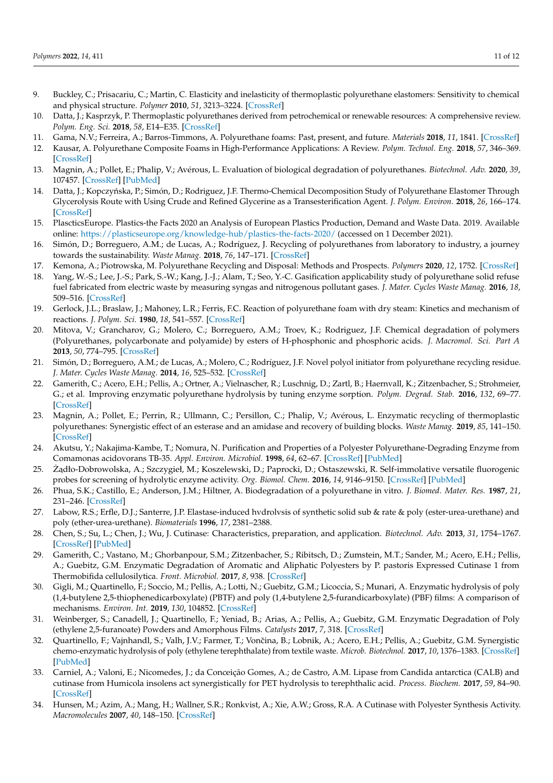- <span id="page-10-0"></span>9. Buckley, C.; Prisacariu, C.; Martin, C. Elasticity and inelasticity of thermoplastic polyurethane elastomers: Sensitivity to chemical and physical structure. *Polymer* **2010**, *51*, 3213–3224. [\[CrossRef\]](http://doi.org/10.1016/j.polymer.2010.04.069)
- <span id="page-10-1"></span>10. Datta, J.; Kasprzyk, P. Thermoplastic polyurethanes derived from petrochemical or renewable resources: A comprehensive review. *Polym. Eng. Sci.* **2018**, *58*, E14–E35. [\[CrossRef\]](http://doi.org/10.1002/pen.24633)
- <span id="page-10-2"></span>11. Gama, N.V.; Ferreira, A.; Barros-Timmons, A. Polyurethane foams: Past, present, and future. *Materials* **2018**, *11*, 1841. [\[CrossRef\]](http://doi.org/10.3390/ma11101841)
- <span id="page-10-3"></span>12. Kausar, A. Polyurethane Composite Foams in High-Performance Applications: A Review. *Polym. Technol. Eng.* **2018**, *57*, 346–369. [\[CrossRef\]](http://doi.org/10.1080/03602559.2017.1329433)
- <span id="page-10-4"></span>13. Magnin, A.; Pollet, E.; Phalip, V.; Avérous, L. Evaluation of biological degradation of polyurethanes. *Biotechnol. Adv.* **2020**, *39*, 107457. [\[CrossRef\]](http://doi.org/10.1016/j.biotechadv.2019.107457) [\[PubMed\]](http://www.ncbi.nlm.nih.gov/pubmed/31689471)
- <span id="page-10-5"></span>14. Datta, J.; Kopczyńska, P.; Simón, D.; Rodriguez, J.F. Thermo-Chemical Decomposition Study of Polyurethane Elastomer Through Glycerolysis Route with Using Crude and Refined Glycerine as a Transesterification Agent. *J. Polym. Environ.* **2018**, *26*, 166–174. [\[CrossRef\]](http://doi.org/10.1007/s10924-016-0932-y)
- <span id="page-10-6"></span>15. PlascticsEurope. Plastics-the Facts 2020 an Analysis of European Plastics Production, Demand and Waste Data. 2019. Available online: <https://plasticseurope.org/knowledge-hub/plastics-the-facts-2020/> (accessed on 1 December 2021).
- <span id="page-10-7"></span>16. Simón, D.; Borreguero, A.M.; de Lucas, A.; Rodríguez, J. Recycling of polyurethanes from laboratory to industry, a journey towards the sustainability. *Waste Manag.* **2018**, *76*, 147–171. [\[CrossRef\]](http://doi.org/10.1016/j.wasman.2018.03.041)
- <span id="page-10-8"></span>17. Kemona, A.; Piotrowska, M. Polyurethane Recycling and Disposal: Methods and Prospects. *Polymers* **2020**, *12*, 1752. [\[CrossRef\]](http://doi.org/10.3390/polym12081752)
- <span id="page-10-9"></span>18. Yang, W.-S.; Lee, J.-S.; Park, S.-W.; Kang, J.-J.; Alam, T.; Seo, Y.-C. Gasification applicability study of polyurethane solid refuse fuel fabricated from electric waste by measuring syngas and nitrogenous pollutant gases. *J. Mater. Cycles Waste Manag.* **2016**, *18*, 509–516. [\[CrossRef\]](http://doi.org/10.1007/s10163-016-0512-1)
- <span id="page-10-10"></span>19. Gerlock, J.L.; Braslaw, J.; Mahoney, L.R.; Ferris, F.C. Reaction of polyurethane foam with dry steam: Kinetics and mechanism of reactions. *J. Polym. Sci.* **1980**, *18*, 541–557. [\[CrossRef\]](http://doi.org/10.1002/pol.1980.170180215)
- <span id="page-10-11"></span>20. Mitova, V.; Grancharov, G.; Molero, C.; Borreguero, A.M.; Troev, K.; Rodriguez, J.F. Chemical degradation of polymers (Polyurethanes, polycarbonate and polyamide) by esters of H-phosphonic and phosphoric acids. *J. Macromol. Sci. Part A* **2013**, *50*, 774–795. [\[CrossRef\]](http://doi.org/10.1080/10601325.2013.792667)
- <span id="page-10-12"></span>21. Simón, D.; Borreguero, A.M.; de Lucas, A.; Molero, C.; Rodríguez, J.F. Novel polyol initiator from polyurethane recycling residue. *J. Mater. Cycles Waste Manag.* **2014**, *16*, 525–532. [\[CrossRef\]](http://doi.org/10.1007/s10163-013-0205-y)
- <span id="page-10-13"></span>22. Gamerith, C.; Acero, E.H.; Pellis, A.; Ortner, A.; Vielnascher, R.; Luschnig, D.; Zartl, B.; Haernvall, K.; Zitzenbacher, S.; Strohmeier, G.; et al. Improving enzymatic polyurethane hydrolysis by tuning enzyme sorption. *Polym. Degrad. Stab.* **2016**, *132*, 69–77. [\[CrossRef\]](http://doi.org/10.1016/j.polymdegradstab.2016.02.025)
- <span id="page-10-14"></span>23. Magnin, A.; Pollet, E.; Perrin, R.; Ullmann, C.; Persillon, C.; Phalip, V.; Avérous, L. Enzymatic recycling of thermoplastic polyurethanes: Synergistic effect of an esterase and an amidase and recovery of building blocks. *Waste Manag.* **2019**, *85*, 141–150. [\[CrossRef\]](http://doi.org/10.1016/j.wasman.2018.12.024)
- <span id="page-10-15"></span>24. Akutsu, Y.; Nakajima-Kambe, T.; Nomura, N. Purification and Properties of a Polyester Polyurethane-Degrading Enzyme from Comamonas acidovorans TB-35. *Appl. Environ. Microbiol.* **1998**, *64*, 62–67. [\[CrossRef\]](http://doi.org/10.1128/AEM.64.1.62-67.1998) [\[PubMed\]](http://www.ncbi.nlm.nih.gov/pubmed/16349494)
- <span id="page-10-16"></span>25. Żądło-Dobrowolska, A.; Szczygieł, M.; Koszelewski, D.; Paprocki, D.; Ostaszewski, R. Self-immolative versatile fluorogenic probes for screening of hydrolytic enzyme activity. *Org. Biomol. Chem.* **2016**, *14*, 9146–9150. [\[CrossRef\]](http://doi.org/10.1039/C6OB01488G) [\[PubMed\]](http://www.ncbi.nlm.nih.gov/pubmed/27714153)
- <span id="page-10-17"></span>26. Phua, S.K.; Castillo, E.; Anderson, J.M.; Hiltner, A. Biodegradation of a polyurethane in vitro. *J. Biomed. Mater. Res.* **1987**, *21*, 231–246. [\[CrossRef\]](http://doi.org/10.1002/jbm.820210207)
- <span id="page-10-18"></span>27. Labow, R.S.; Erfle, D.J.; Santerre, J.P. Elastase-induced hvdrolvsis of synthetic solid sub & rate & poly (ester-urea-urethane) and poly (ether-urea-urethane). *Biomaterials* **1996**, *17*, 2381–2388.
- <span id="page-10-19"></span>28. Chen, S.; Su, L.; Chen, J.; Wu, J. Cutinase: Characteristics, preparation, and application. *Biotechnol. Adv.* **2013**, *31*, 1754–1767. [\[CrossRef\]](http://doi.org/10.1016/j.biotechadv.2013.09.005) [\[PubMed\]](http://www.ncbi.nlm.nih.gov/pubmed/24055682)
- 29. Gamerith, C.; Vastano, M.; Ghorbanpour, S.M.; Zitzenbacher, S.; Ribitsch, D.; Zumstein, M.T.; Sander, M.; Acero, E.H.; Pellis, A.; Guebitz, G.M. Enzymatic Degradation of Aromatic and Aliphatic Polyesters by P. pastoris Expressed Cutinase 1 from Thermobifida cellulosilytica. *Front. Microbiol.* **2017**, *8*, 938. [\[CrossRef\]](http://doi.org/10.3389/fmicb.2017.00938)
- 30. Gigli, M.; Quartinello, F.; Soccio, M.; Pellis, A.; Lotti, N.; Guebitz, G.M.; Licoccia, S.; Munari, A. Enzymatic hydrolysis of poly (1,4-butylene 2,5-thiophenedicarboxylate) (PBTF) and poly (1,4-butylene 2,5-furandicarboxylate) (PBF) films: A comparison of mechanisms. *Environ. Int.* **2019**, *130*, 104852. [\[CrossRef\]](http://doi.org/10.1016/j.envint.2019.05.046)
- 31. Weinberger, S.; Canadell, J.; Quartinello, F.; Yeniad, B.; Arias, A.; Pellis, A.; Guebitz, G.M. Enzymatic Degradation of Poly (ethylene 2,5-furanoate) Powders and Amorphous Films. *Catalysts* **2017**, *7*, 318. [\[CrossRef\]](http://doi.org/10.3390/catal7110318)
- <span id="page-10-22"></span>32. Quartinello, F.; Vajnhandl, S.; Valh, J.V.; Farmer, T.; Vončina, B.; Lobnik, A.; Acero, E.H.; Pellis, A.; Guebitz, G.M. Synergistic chemo-enzymatic hydrolysis of poly (ethylene terephthalate) from textile waste. *Microb. Biotechnol.* **2017**, *10*, 1376–1383. [\[CrossRef\]](http://doi.org/10.1111/1751-7915.12734) [\[PubMed\]](http://www.ncbi.nlm.nih.gov/pubmed/28574165)
- <span id="page-10-20"></span>33. Carniel, A.; Valoni, E.; Nicomedes, J.; da Conceição Gomes, A.; de Castro, A.M. Lipase from Candida antarctica (CALB) and cutinase from Humicola insolens act synergistically for PET hydrolysis to terephthalic acid. *Process. Biochem.* **2017**, *59*, 84–90. [\[CrossRef\]](http://doi.org/10.1016/j.procbio.2016.07.023)
- <span id="page-10-21"></span>34. Hunsen, M.; Azim, A.; Mang, H.; Wallner, S.R.; Ronkvist, A.; Xie, A.W.; Gross, R.A. A Cutinase with Polyester Synthesis Activity. *Macromolecules* **2007**, *40*, 148–150. [\[CrossRef\]](http://doi.org/10.1021/ma062095g)